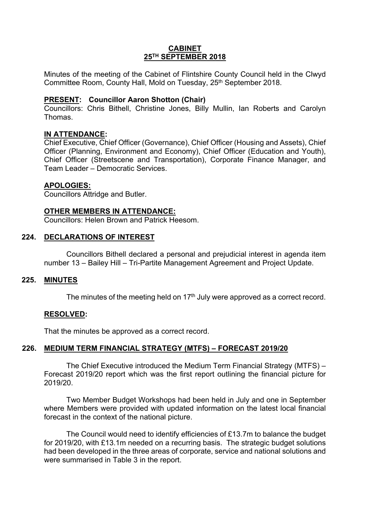## **CABINET 25TH SEPTEMBER 2018**

Minutes of the meeting of the Cabinet of Flintshire County Council held in the Clwyd Committee Room, County Hall, Mold on Tuesday, 25<sup>th</sup> September 2018.

### **PRESENT: Councillor Aaron Shotton (Chair)**

Councillors: Chris Bithell, Christine Jones, Billy Mullin, Ian Roberts and Carolyn Thomas.

### **IN ATTENDANCE:**

Chief Executive, Chief Officer (Governance), Chief Officer (Housing and Assets), Chief Officer (Planning, Environment and Economy), Chief Officer (Education and Youth), Chief Officer (Streetscene and Transportation), Corporate Finance Manager, and Team Leader – Democratic Services.

#### **APOLOGIES:**

Councillors Attridge and Butler.

### **OTHER MEMBERS IN ATTENDANCE:**

Councillors: Helen Brown and Patrick Heesom.

### **224. DECLARATIONS OF INTEREST**

Councillors Bithell declared a personal and prejudicial interest in agenda item number 13 – Bailey Hill – Tri-Partite Management Agreement and Project Update.

#### **225. MINUTES**

The minutes of the meeting held on  $17<sup>th</sup>$  July were approved as a correct record.

## **RESOLVED:**

That the minutes be approved as a correct record.

## **226. MEDIUM TERM FINANCIAL STRATEGY (MTFS) – FORECAST 2019/20**

The Chief Executive introduced the Medium Term Financial Strategy (MTFS) – Forecast 2019/20 report which was the first report outlining the financial picture for 2019/20.

Two Member Budget Workshops had been held in July and one in September where Members were provided with updated information on the latest local financial forecast in the context of the national picture.

The Council would need to identify efficiencies of £13.7m to balance the budget for 2019/20, with £13.1m needed on a recurring basis. The strategic budget solutions had been developed in the three areas of corporate, service and national solutions and were summarised in Table 3 in the report.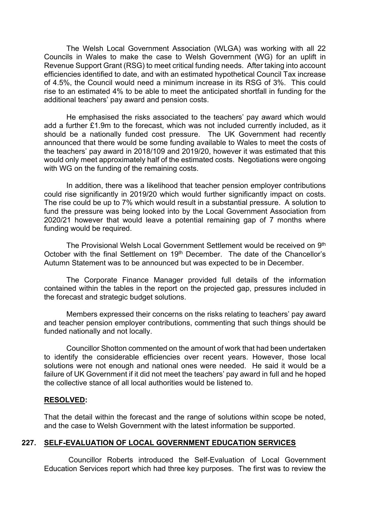The Welsh Local Government Association (WLGA) was working with all 22 Councils in Wales to make the case to Welsh Government (WG) for an uplift in Revenue Support Grant (RSG) to meet critical funding needs. After taking into account efficiencies identified to date, and with an estimated hypothetical Council Tax increase of 4.5%, the Council would need a minimum increase in its RSG of 3%. This could rise to an estimated 4% to be able to meet the anticipated shortfall in funding for the additional teachers' pay award and pension costs.

He emphasised the risks associated to the teachers' pay award which would add a further £1.9m to the forecast, which was not included currently included, as it should be a nationally funded cost pressure. The UK Government had recently announced that there would be some funding available to Wales to meet the costs of the teachers' pay award in 2018/109 and 2019/20, however it was estimated that this would only meet approximately half of the estimated costs. Negotiations were ongoing with WG on the funding of the remaining costs.

In addition, there was a likelihood that teacher pension employer contributions could rise significantly in 2019/20 which would further significantly impact on costs. The rise could be up to 7% which would result in a substantial pressure. A solution to fund the pressure was being looked into by the Local Government Association from 2020/21 however that would leave a potential remaining gap of 7 months where funding would be required.

The Provisional Welsh Local Government Settlement would be received on 9<sup>th</sup> October with the final Settlement on 19<sup>th</sup> December. The date of the Chancellor's Autumn Statement was to be announced but was expected to be in December.

The Corporate Finance Manager provided full details of the information contained within the tables in the report on the projected gap, pressures included in the forecast and strategic budget solutions.

Members expressed their concerns on the risks relating to teachers' pay award and teacher pension employer contributions, commenting that such things should be funded nationally and not locally.

Councillor Shotton commented on the amount of work that had been undertaken to identify the considerable efficiencies over recent years. However, those local solutions were not enough and national ones were needed. He said it would be a failure of UK Government if it did not meet the teachers' pay award in full and he hoped the collective stance of all local authorities would be listened to.

#### **RESOLVED:**

That the detail within the forecast and the range of solutions within scope be noted, and the case to Welsh Government with the latest information be supported.

## **227. SELF-EVALUATION OF LOCAL GOVERNMENT EDUCATION SERVICES**

Councillor Roberts introduced the Self-Evaluation of Local Government Education Services report which had three key purposes. The first was to review the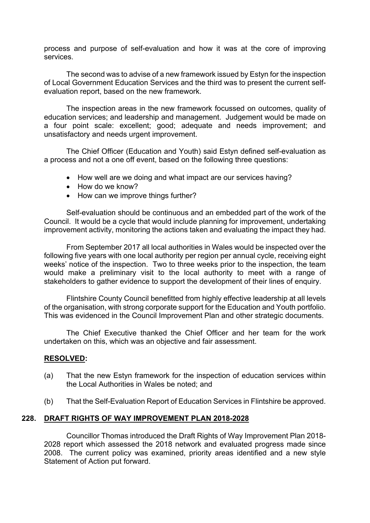process and purpose of self-evaluation and how it was at the core of improving services.

The second was to advise of a new framework issued by Estyn for the inspection of Local Government Education Services and the third was to present the current selfevaluation report, based on the new framework.

The inspection areas in the new framework focussed on outcomes, quality of education services; and leadership and management. Judgement would be made on a four point scale: excellent; good; adequate and needs improvement; and unsatisfactory and needs urgent improvement.

The Chief Officer (Education and Youth) said Estyn defined self-evaluation as a process and not a one off event, based on the following three questions:

- How well are we doing and what impact are our services having?
- How do we know?
- How can we improve things further?

Self-evaluation should be continuous and an embedded part of the work of the Council. It would be a cycle that would include planning for improvement, undertaking improvement activity, monitoring the actions taken and evaluating the impact they had.

From September 2017 all local authorities in Wales would be inspected over the following five years with one local authority per region per annual cycle, receiving eight weeks' notice of the inspection. Two to three weeks prior to the inspection, the team would make a preliminary visit to the local authority to meet with a range of stakeholders to gather evidence to support the development of their lines of enquiry.

Flintshire County Council benefitted from highly effective leadership at all levels of the organisation, with strong corporate support for the Education and Youth portfolio. This was evidenced in the Council Improvement Plan and other strategic documents.

The Chief Executive thanked the Chief Officer and her team for the work undertaken on this, which was an objective and fair assessment.

## **RESOLVED:**

- (a) That the new Estyn framework for the inspection of education services within the Local Authorities in Wales be noted; and
- (b) That the Self-Evaluation Report of Education Services in Flintshire be approved.

## **228. DRAFT RIGHTS OF WAY IMPROVEMENT PLAN 2018-2028**

Councillor Thomas introduced the Draft Rights of Way Improvement Plan 2018- 2028 report which assessed the 2018 network and evaluated progress made since 2008. The current policy was examined, priority areas identified and a new style Statement of Action put forward.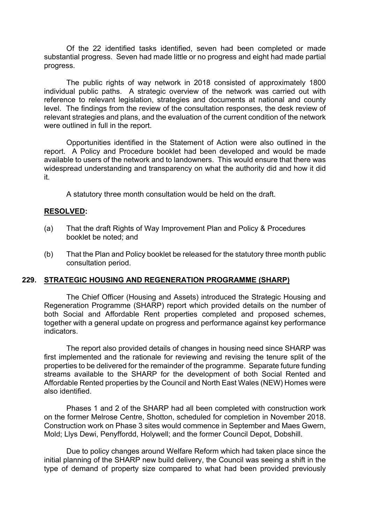Of the 22 identified tasks identified, seven had been completed or made substantial progress. Seven had made little or no progress and eight had made partial progress.

The public rights of way network in 2018 consisted of approximately 1800 individual public paths. A strategic overview of the network was carried out with reference to relevant legislation, strategies and documents at national and county level. The findings from the review of the consultation responses, the desk review of relevant strategies and plans, and the evaluation of the current condition of the network were outlined in full in the report.

Opportunities identified in the Statement of Action were also outlined in the report. A Policy and Procedure booklet had been developed and would be made available to users of the network and to landowners. This would ensure that there was widespread understanding and transparency on what the authority did and how it did it.

A statutory three month consultation would be held on the draft.

## **RESOLVED:**

- (a) That the draft Rights of Way Improvement Plan and Policy & Procedures booklet be noted; and
- (b) That the Plan and Policy booklet be released for the statutory three month public consultation period.

## **229. STRATEGIC HOUSING AND REGENERATION PROGRAMME (SHARP)**

The Chief Officer (Housing and Assets) introduced the Strategic Housing and Regeneration Programme (SHARP) report which provided details on the number of both Social and Affordable Rent properties completed and proposed schemes, together with a general update on progress and performance against key performance indicators.

The report also provided details of changes in housing need since SHARP was first implemented and the rationale for reviewing and revising the tenure split of the properties to be delivered for the remainder of the programme. Separate future funding streams available to the SHARP for the development of both Social Rented and Affordable Rented properties by the Council and North East Wales (NEW) Homes were also identified.

Phases 1 and 2 of the SHARP had all been completed with construction work on the former Melrose Centre, Shotton, scheduled for completion in November 2018. Construction work on Phase 3 sites would commence in September and Maes Gwern, Mold; Llys Dewi, Penyffordd, Holywell; and the former Council Depot, Dobshill.

Due to policy changes around Welfare Reform which had taken place since the initial planning of the SHARP new build delivery, the Council was seeing a shift in the type of demand of property size compared to what had been provided previously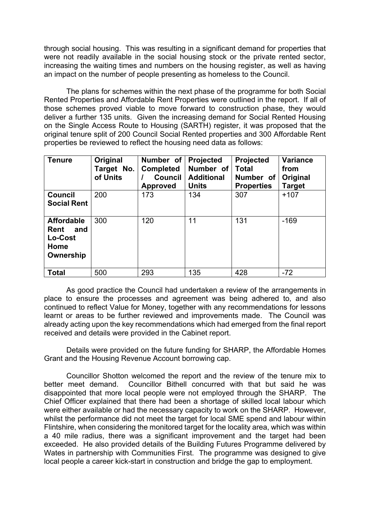through social housing. This was resulting in a significant demand for properties that were not readily available in the social housing stock or the private rented sector, increasing the waiting times and numbers on the housing register, as well as having an impact on the number of people presenting as homeless to the Council.

The plans for schemes within the next phase of the programme for both Social Rented Properties and Affordable Rent Properties were outlined in the report. If all of those schemes proved viable to move forward to construction phase, they would deliver a further 135 units. Given the increasing demand for Social Rented Housing on the Single Access Route to Housing (SARTH) register, it was proposed that the original tenure split of 200 Council Social Rented properties and 300 Affordable Rent properties be reviewed to reflect the housing need data as follows:

| <b>Tenure</b>                                                           | Original<br>Target No.<br>of Units | Number of<br><b>Completed</b><br><b>Council</b><br><b>Approved</b> | <b>Projected</b><br>Number of<br><b>Additional</b><br><b>Units</b> | <b>Projected</b><br><b>Total</b><br>Number of<br><b>Properties</b> | <b>Variance</b><br>from<br>Original<br><b>Target</b> |
|-------------------------------------------------------------------------|------------------------------------|--------------------------------------------------------------------|--------------------------------------------------------------------|--------------------------------------------------------------------|------------------------------------------------------|
| <b>Council</b><br><b>Social Rent</b>                                    | 200                                | 173                                                                | 134                                                                | 307                                                                | $+107$                                               |
| <b>Affordable</b><br><b>Rent</b><br>and<br>Lo-Cost<br>Home<br>Ownership | 300                                | 120                                                                | 11                                                                 | 131                                                                | $-169$                                               |
| <b>Total</b>                                                            | 500                                | 293                                                                | 135                                                                | 428                                                                | $-72$                                                |

As good practice the Council had undertaken a review of the arrangements in place to ensure the processes and agreement was being adhered to, and also continued to reflect Value for Money, together with any recommendations for lessons learnt or areas to be further reviewed and improvements made. The Council was already acting upon the key recommendations which had emerged from the final report received and details were provided in the Cabinet report.

Details were provided on the future funding for SHARP, the Affordable Homes Grant and the Housing Revenue Account borrowing cap.

Councillor Shotton welcomed the report and the review of the tenure mix to better meet demand. Councillor Bithell concurred with that but said he was disappointed that more local people were not employed through the SHARP. The Chief Officer explained that there had been a shortage of skilled local labour which were either available or had the necessary capacity to work on the SHARP. However, whilst the performance did not meet the target for local SME spend and labour within Flintshire, when considering the monitored target for the locality area, which was within a 40 mile radius, there was a significant improvement and the target had been exceeded. He also provided details of the Building Futures Programme delivered by Wates in partnership with Communities First. The programme was designed to give local people a career kick-start in construction and bridge the gap to employment.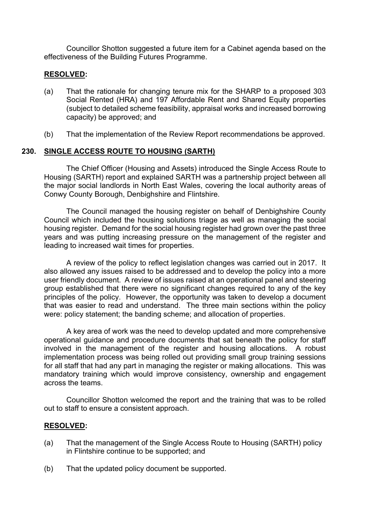Councillor Shotton suggested a future item for a Cabinet agenda based on the effectiveness of the Building Futures Programme.

### **RESOLVED:**

- (a) That the rationale for changing tenure mix for the SHARP to a proposed 303 Social Rented (HRA) and 197 Affordable Rent and Shared Equity properties (subject to detailed scheme feasibility, appraisal works and increased borrowing capacity) be approved; and
- (b) That the implementation of the Review Report recommendations be approved.

## **230. SINGLE ACCESS ROUTE TO HOUSING (SARTH)**

The Chief Officer (Housing and Assets) introduced the Single Access Route to Housing (SARTH) report and explained SARTH was a partnership project between all the major social landlords in North East Wales, covering the local authority areas of Conwy County Borough, Denbighshire and Flintshire.

The Council managed the housing register on behalf of Denbighshire County Council which included the housing solutions triage as well as managing the social housing register. Demand for the social housing register had grown over the past three years and was putting increasing pressure on the management of the register and leading to increased wait times for properties.

A review of the policy to reflect legislation changes was carried out in 2017. It also allowed any issues raised to be addressed and to develop the policy into a more user friendly document. A review of issues raised at an operational panel and steering group established that there were no significant changes required to any of the key principles of the policy. However, the opportunity was taken to develop a document that was easier to read and understand. The three main sections within the policy were: policy statement; the banding scheme; and allocation of properties.

A key area of work was the need to develop updated and more comprehensive operational guidance and procedure documents that sat beneath the policy for staff involved in the management of the register and housing allocations. A robust implementation process was being rolled out providing small group training sessions for all staff that had any part in managing the register or making allocations. This was mandatory training which would improve consistency, ownership and engagement across the teams.

Councillor Shotton welcomed the report and the training that was to be rolled out to staff to ensure a consistent approach.

#### **RESOLVED:**

- (a) That the management of the Single Access Route to Housing (SARTH) policy in Flintshire continue to be supported; and
- (b) That the updated policy document be supported.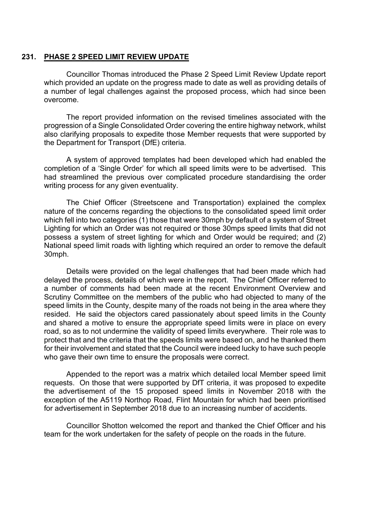#### **231. PHASE 2 SPEED LIMIT REVIEW UPDATE**

Councillor Thomas introduced the Phase 2 Speed Limit Review Update report which provided an update on the progress made to date as well as providing details of a number of legal challenges against the proposed process, which had since been overcome.

The report provided information on the revised timelines associated with the progression of a Single Consolidated Order covering the entire highway network, whilst also clarifying proposals to expedite those Member requests that were supported by the Department for Transport (DfE) criteria.

A system of approved templates had been developed which had enabled the completion of a 'Single Order' for which all speed limits were to be advertised. This had streamlined the previous over complicated procedure standardising the order writing process for any given eventuality.

The Chief Officer (Streetscene and Transportation) explained the complex nature of the concerns regarding the objections to the consolidated speed limit order which fell into two categories (1) those that were 30mph by default of a system of Street Lighting for which an Order was not required or those 30mps speed limits that did not possess a system of street lighting for which and Order would be required; and (2) National speed limit roads with lighting which required an order to remove the default 30mph.

Details were provided on the legal challenges that had been made which had delayed the process, details of which were in the report. The Chief Officer referred to a number of comments had been made at the recent Environment Overview and Scrutiny Committee on the members of the public who had objected to many of the speed limits in the County, despite many of the roads not being in the area where they resided. He said the objectors cared passionately about speed limits in the County and shared a motive to ensure the appropriate speed limits were in place on every road, so as to not undermine the validity of speed limits everywhere. Their role was to protect that and the criteria that the speeds limits were based on, and he thanked them for their involvement and stated that the Council were indeed lucky to have such people who gave their own time to ensure the proposals were correct.

Appended to the report was a matrix which detailed local Member speed limit requests. On those that were supported by DfT criteria, it was proposed to expedite the advertisement of the 15 proposed speed limits in November 2018 with the exception of the A5119 Northop Road, Flint Mountain for which had been prioritised for advertisement in September 2018 due to an increasing number of accidents.

Councillor Shotton welcomed the report and thanked the Chief Officer and his team for the work undertaken for the safety of people on the roads in the future.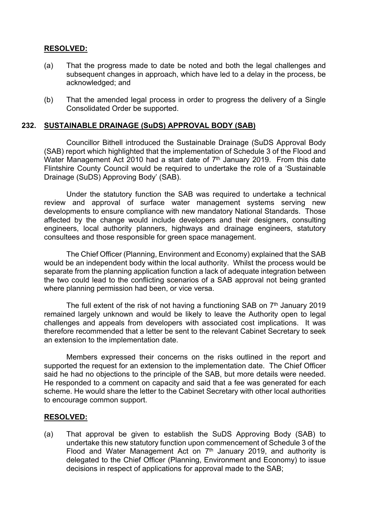# **RESOLVED:**

- (a) That the progress made to date be noted and both the legal challenges and subsequent changes in approach, which have led to a delay in the process, be acknowledged; and
- (b) That the amended legal process in order to progress the delivery of a Single Consolidated Order be supported.

## **232. SUSTAINABLE DRAINAGE (SuDS) APPROVAL BODY (SAB)**

Councillor Bithell introduced the Sustainable Drainage (SuDS Approval Body (SAB) report which highlighted that the implementation of Schedule 3 of the Flood and Water Management Act 2010 had a start date of 7<sup>th</sup> January 2019. From this date Flintshire County Council would be required to undertake the role of a 'Sustainable Drainage (SuDS) Approving Body' (SAB).

Under the statutory function the SAB was required to undertake a technical review and approval of surface water management systems serving new developments to ensure compliance with new mandatory National Standards. Those affected by the change would include developers and their designers, consulting engineers, local authority planners, highways and drainage engineers, statutory consultees and those responsible for green space management.

The Chief Officer (Planning, Environment and Economy) explained that the SAB would be an independent body within the local authority. Whilst the process would be separate from the planning application function a lack of adequate integration between the two could lead to the conflicting scenarios of a SAB approval not being granted where planning permission had been, or vice versa.

The full extent of the risk of not having a functioning SAB on 7<sup>th</sup> January 2019 remained largely unknown and would be likely to leave the Authority open to legal challenges and appeals from developers with associated cost implications. It was therefore recommended that a letter be sent to the relevant Cabinet Secretary to seek an extension to the implementation date.

Members expressed their concerns on the risks outlined in the report and supported the request for an extension to the implementation date. The Chief Officer said he had no objections to the principle of the SAB, but more details were needed. He responded to a comment on capacity and said that a fee was generated for each scheme. He would share the letter to the Cabinet Secretary with other local authorities to encourage common support.

#### **RESOLVED:**

(a) That approval be given to establish the SuDS Approving Body (SAB) to undertake this new statutory function upon commencement of Schedule 3 of the Flood and Water Management Act on 7<sup>th</sup> January 2019, and authority is delegated to the Chief Officer (Planning, Environment and Economy) to issue decisions in respect of applications for approval made to the SAB;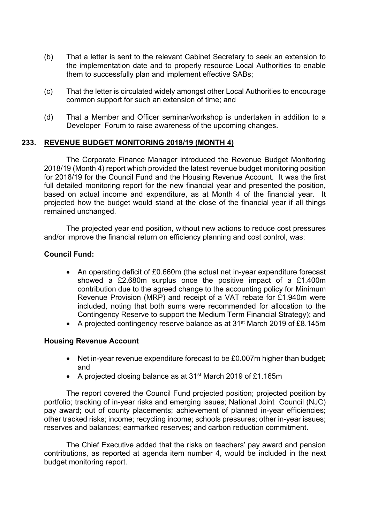- (b) That a letter is sent to the relevant Cabinet Secretary to seek an extension to the implementation date and to properly resource Local Authorities to enable them to successfully plan and implement effective SABs;
- (c) That the letter is circulated widely amongst other Local Authorities to encourage common support for such an extension of time; and
- (d) That a Member and Officer seminar/workshop is undertaken in addition to a Developer Forum to raise awareness of the upcoming changes.

## **233. REVENUE BUDGET MONITORING 2018/19 (MONTH 4)**

The Corporate Finance Manager introduced the Revenue Budget Monitoring 2018/19 (Month 4) report which provided the latest revenue budget monitoring position for 2018/19 for the Council Fund and the Housing Revenue Account. It was the first full detailed monitoring report for the new financial year and presented the position, based on actual income and expenditure, as at Month 4 of the financial year. It projected how the budget would stand at the close of the financial year if all things remained unchanged.

The projected year end position, without new actions to reduce cost pressures and/or improve the financial return on efficiency planning and cost control, was:

## **Council Fund:**

- An operating deficit of £0.660m (the actual net in-year expenditure forecast showed a £2.680m surplus once the positive impact of a £1.400m contribution due to the agreed change to the accounting policy for Minimum Revenue Provision (MRP) and receipt of a VAT rebate for £1.940m were included, noting that both sums were recommended for allocation to the Contingency Reserve to support the Medium Term Financial Strategy); and
- A projected contingency reserve balance as at 31st March 2019 of £8.145m

## **Housing Revenue Account**

- Net in-year revenue expenditure forecast to be £0.007m higher than budget; and
- A projected closing balance as at 31st March 2019 of £1.165m

The report covered the Council Fund projected position; projected position by portfolio; tracking of in-year risks and emerging issues; National Joint Council (NJC) pay award; out of county placements; achievement of planned in-year efficiencies; other tracked risks; income; recycling income; schools pressures; other in-year issues; reserves and balances; earmarked reserves; and carbon reduction commitment.

The Chief Executive added that the risks on teachers' pay award and pension contributions, as reported at agenda item number 4, would be included in the next budget monitoring report.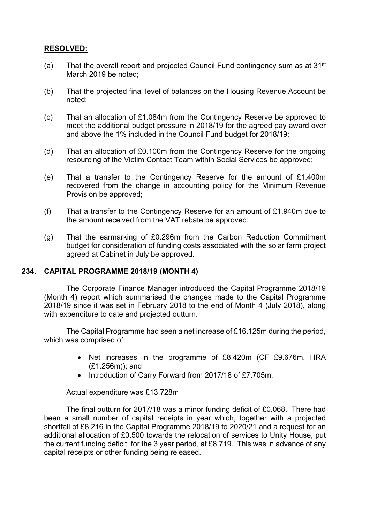# **RESOLVED:**

- (a) That the overall report and projected Council Fund contingency sum as at  $31<sup>st</sup>$ March 2019 be noted;
- (b) That the projected final level of balances on the Housing Revenue Account be noted;
- (c) That an allocation of £1.084m from the Contingency Reserve be approved to meet the additional budget pressure in 2018/19 for the agreed pay award over and above the 1% included in the Council Fund budget for 2018/19;
- (d) That an allocation of £0.100m from the Contingency Reserve for the ongoing resourcing of the Victim Contact Team within Social Services be approved;
- (e) That a transfer to the Contingency Reserve for the amount of £1.400m recovered from the change in accounting policy for the Minimum Revenue Provision be approved;
- (f) That a transfer to the Contingency Reserve for an amount of £1.940m due to the amount received from the VAT rebate be approved;
- (g) That the earmarking of £0.296m from the Carbon Reduction Commitment budget for consideration of funding costs associated with the solar farm project agreed at Cabinet in July be approved.

## **234. CAPITAL PROGRAMME 2018/19 (MONTH 4)**

The Corporate Finance Manager introduced the Capital Programme 2018/19 (Month 4) report which summarised the changes made to the Capital Programme 2018/19 since it was set in February 2018 to the end of Month 4 (July 2018), along with expenditure to date and projected outturn.

The Capital Programme had seen a net increase of £16.125m during the period, which was comprised of:

- Net increases in the programme of £8.420m (CF £9.676m, HRA (£1.256m)); and
- Introduction of Carry Forward from 2017/18 of £7.705m.

Actual expenditure was £13.728m

The final outturn for 2017/18 was a minor funding deficit of £0.068. There had been a small number of capital receipts in year which, together with a projected shortfall of £8.216 in the Capital Programme 2018/19 to 2020/21 and a request for an additional allocation of £0.500 towards the relocation of services to Unity House, put the current funding deficit, for the 3 year period, at £8.719. This was in advance of any capital receipts or other funding being released.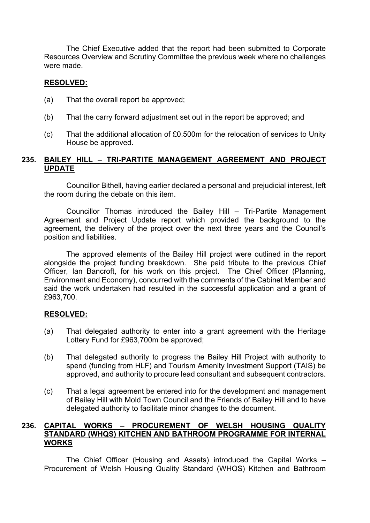The Chief Executive added that the report had been submitted to Corporate Resources Overview and Scrutiny Committee the previous week where no challenges were made.

## **RESOLVED:**

- (a) That the overall report be approved;
- (b) That the carry forward adjustment set out in the report be approved; and
- (c) That the additional allocation of £0.500m for the relocation of services to Unity House be approved.

# **235. BAILEY HILL – TRI-PARTITE MANAGEMENT AGREEMENT AND PROJECT UPDATE**

Councillor Bithell, having earlier declared a personal and prejudicial interest, left the room during the debate on this item.

Councillor Thomas introduced the Bailey Hill – Tri-Partite Management Agreement and Project Update report which provided the background to the agreement, the delivery of the project over the next three years and the Council's position and liabilities.

The approved elements of the Bailey Hill project were outlined in the report alongside the project funding breakdown. She paid tribute to the previous Chief Officer, Ian Bancroft, for his work on this project. The Chief Officer (Planning, Environment and Economy), concurred with the comments of the Cabinet Member and said the work undertaken had resulted in the successful application and a grant of £963,700.

## **RESOLVED:**

- (a) That delegated authority to enter into a grant agreement with the Heritage Lottery Fund for £963,700m be approved;
- (b) That delegated authority to progress the Bailey Hill Project with authority to spend (funding from HLF) and Tourism Amenity Investment Support (TAIS) be approved, and authority to procure lead consultant and subsequent contractors.
- (c) That a legal agreement be entered into for the development and management of Bailey Hill with Mold Town Council and the Friends of Bailey Hill and to have delegated authority to facilitate minor changes to the document.

# **236. CAPITAL WORKS – PROCUREMENT OF WELSH HOUSING QUALITY STANDARD (WHQS) KITCHEN AND BATHROOM PROGRAMME FOR INTERNAL WORKS**

The Chief Officer (Housing and Assets) introduced the Capital Works – Procurement of Welsh Housing Quality Standard (WHQS) Kitchen and Bathroom